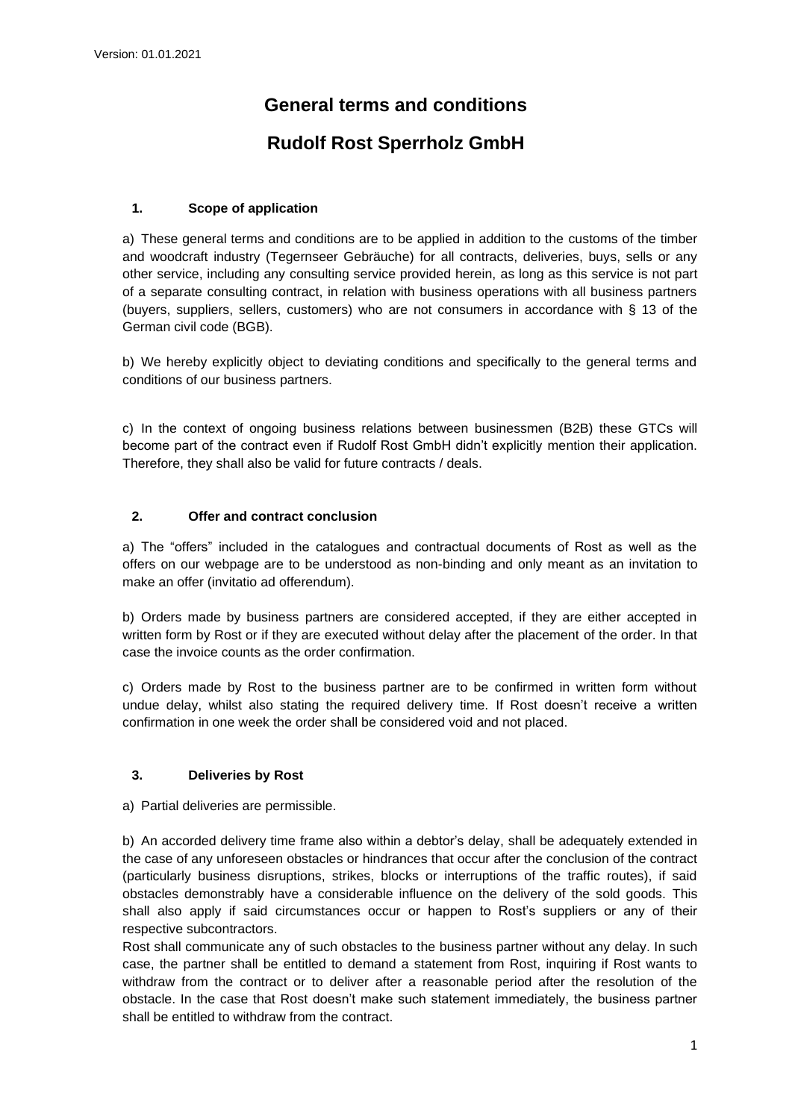# **General terms and conditions**

## **Rudolf Rost Sperrholz GmbH**

## **1. Scope of application**

a) These general terms and conditions are to be applied in addition to the customs of the timber and woodcraft industry (Tegernseer Gebräuche) for all contracts, deliveries, buys, sells or any other service, including any consulting service provided herein, as long as this service is not part of a separate consulting contract, in relation with business operations with all business partners (buyers, suppliers, sellers, customers) who are not consumers in accordance with § 13 of the German civil code (BGB).

b) We hereby explicitly object to deviating conditions and specifically to the general terms and conditions of our business partners.

c) In the context of ongoing business relations between businessmen (B2B) these GTCs will become part of the contract even if Rudolf Rost GmbH didn't explicitly mention their application. Therefore, they shall also be valid for future contracts / deals.

## **2. Offer and contract conclusion**

a) The "offers" included in the catalogues and contractual documents of Rost as well as the offers on our webpage are to be understood as non-binding and only meant as an invitation to make an offer (invitatio ad offerendum).

b) Orders made by business partners are considered accepted, if they are either accepted in written form by Rost or if they are executed without delay after the placement of the order. In that case the invoice counts as the order confirmation.

c) Orders made by Rost to the business partner are to be confirmed in written form without undue delay, whilst also stating the required delivery time. If Rost doesn't receive a written confirmation in one week the order shall be considered void and not placed.

#### **3. Deliveries by Rost**

a) Partial deliveries are permissible.

b) An accorded delivery time frame also within a debtor's delay, shall be adequately extended in the case of any unforeseen obstacles or hindrances that occur after the conclusion of the contract (particularly business disruptions, strikes, blocks or interruptions of the traffic routes), if said obstacles demonstrably have a considerable influence on the delivery of the sold goods. This shall also apply if said circumstances occur or happen to Rost's suppliers or any of their respective subcontractors.

Rost shall communicate any of such obstacles to the business partner without any delay. In such case, the partner shall be entitled to demand a statement from Rost, inquiring if Rost wants to withdraw from the contract or to deliver after a reasonable period after the resolution of the obstacle. In the case that Rost doesn't make such statement immediately, the business partner shall be entitled to withdraw from the contract.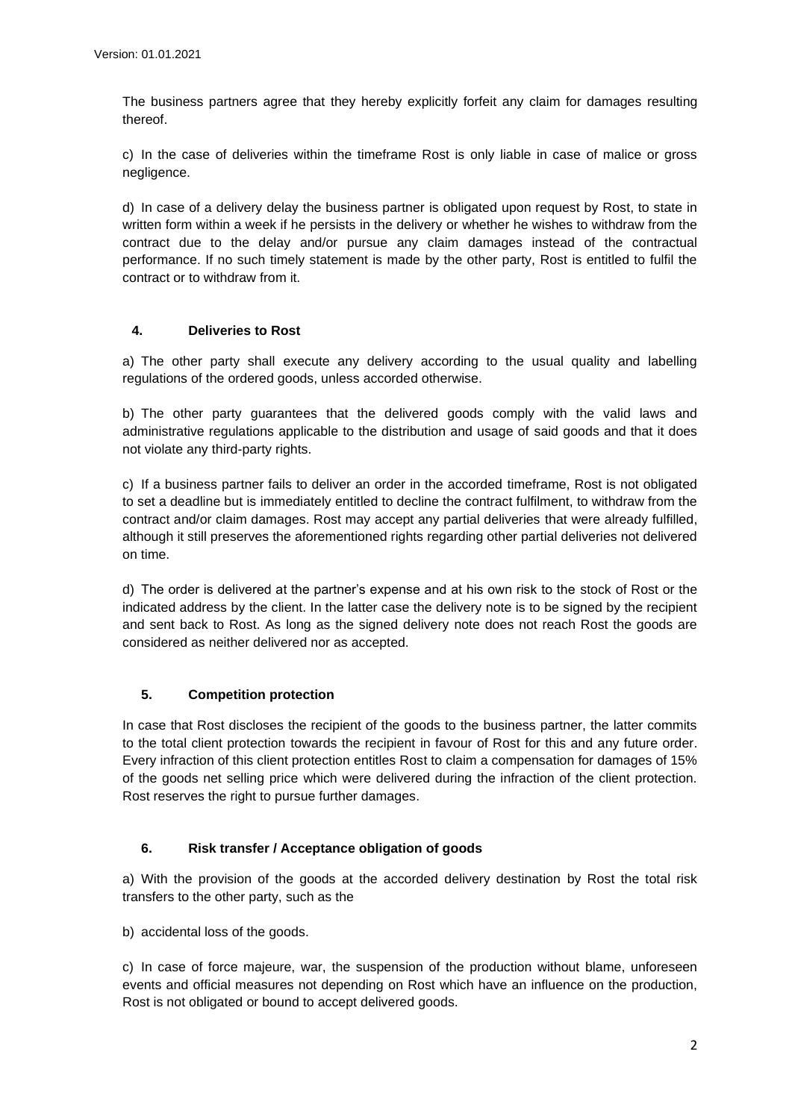The business partners agree that they hereby explicitly forfeit any claim for damages resulting thereof.

c) In the case of deliveries within the timeframe Rost is only liable in case of malice or gross negligence.

d) In case of a delivery delay the business partner is obligated upon request by Rost, to state in written form within a week if he persists in the delivery or whether he wishes to withdraw from the contract due to the delay and/or pursue any claim damages instead of the contractual performance. If no such timely statement is made by the other party, Rost is entitled to fulfil the contract or to withdraw from it.

#### **4. Deliveries to Rost**

a) The other party shall execute any delivery according to the usual quality and labelling regulations of the ordered goods, unless accorded otherwise.

b) The other party guarantees that the delivered goods comply with the valid laws and administrative regulations applicable to the distribution and usage of said goods and that it does not violate any third-party rights.

c) If a business partner fails to deliver an order in the accorded timeframe, Rost is not obligated to set a deadline but is immediately entitled to decline the contract fulfilment, to withdraw from the contract and/or claim damages. Rost may accept any partial deliveries that were already fulfilled, although it still preserves the aforementioned rights regarding other partial deliveries not delivered on time.

d) The order is delivered at the partner's expense and at his own risk to the stock of Rost or the indicated address by the client. In the latter case the delivery note is to be signed by the recipient and sent back to Rost. As long as the signed delivery note does not reach Rost the goods are considered as neither delivered nor as accepted.

## **5. Competition protection**

In case that Rost discloses the recipient of the goods to the business partner, the latter commits to the total client protection towards the recipient in favour of Rost for this and any future order. Every infraction of this client protection entitles Rost to claim a compensation for damages of 15% of the goods net selling price which were delivered during the infraction of the client protection. Rost reserves the right to pursue further damages.

#### **6. Risk transfer / Acceptance obligation of goods**

a) With the provision of the goods at the accorded delivery destination by Rost the total risk transfers to the other party, such as the

b) accidental loss of the goods.

c) In case of force majeure, war, the suspension of the production without blame, unforeseen events and official measures not depending on Rost which have an influence on the production, Rost is not obligated or bound to accept delivered goods.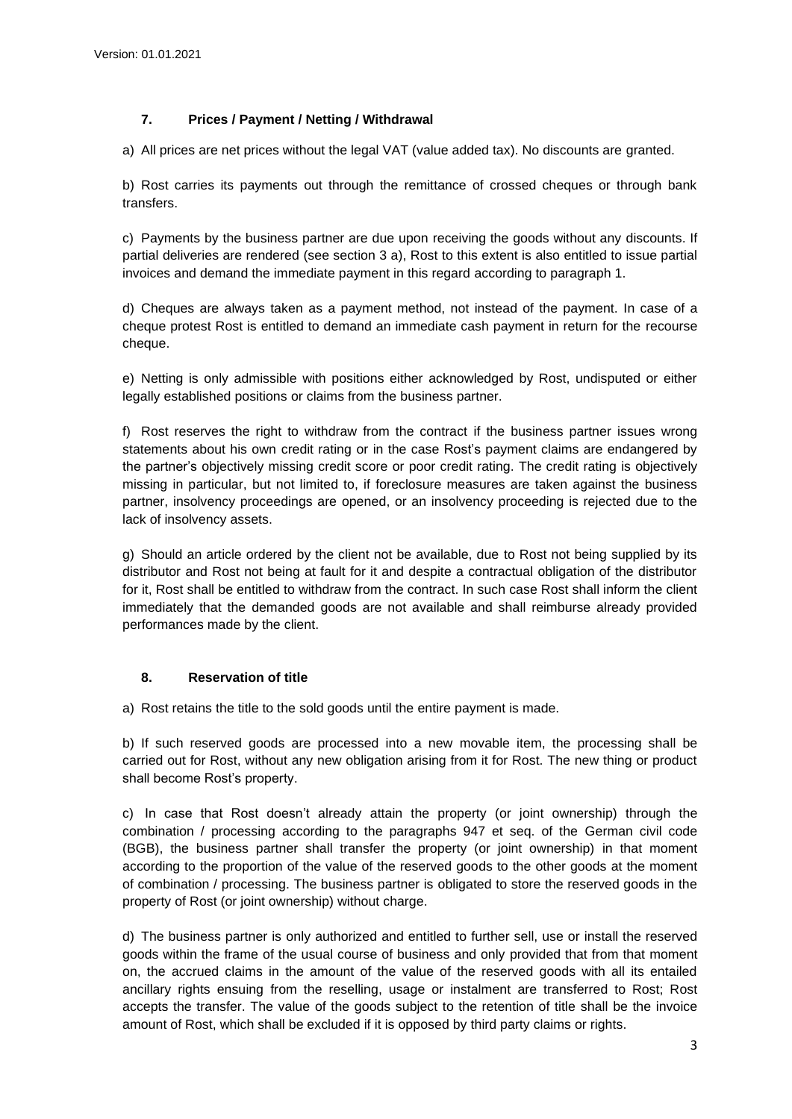## **7. Prices / Payment / Netting / Withdrawal**

a) All prices are net prices without the legal VAT (value added tax). No discounts are granted.

b) Rost carries its payments out through the remittance of crossed cheques or through bank transfers.

c) Payments by the business partner are due upon receiving the goods without any discounts. If partial deliveries are rendered (see section 3 a), Rost to this extent is also entitled to issue partial invoices and demand the immediate payment in this regard according to paragraph 1.

d) Cheques are always taken as a payment method, not instead of the payment. In case of a cheque protest Rost is entitled to demand an immediate cash payment in return for the recourse cheque.

e) Netting is only admissible with positions either acknowledged by Rost, undisputed or either legally established positions or claims from the business partner.

f) Rost reserves the right to withdraw from the contract if the business partner issues wrong statements about his own credit rating or in the case Rost's payment claims are endangered by the partner's objectively missing credit score or poor credit rating. The credit rating is objectively missing in particular, but not limited to, if foreclosure measures are taken against the business partner, insolvency proceedings are opened, or an insolvency proceeding is rejected due to the lack of insolvency assets.

g) Should an article ordered by the client not be available, due to Rost not being supplied by its distributor and Rost not being at fault for it and despite a contractual obligation of the distributor for it, Rost shall be entitled to withdraw from the contract. In such case Rost shall inform the client immediately that the demanded goods are not available and shall reimburse already provided performances made by the client.

## **8. Reservation of title**

a) Rost retains the title to the sold goods until the entire payment is made.

b) If such reserved goods are processed into a new movable item, the processing shall be carried out for Rost, without any new obligation arising from it for Rost. The new thing or product shall become Rost's property.

c) In case that Rost doesn't already attain the property (or joint ownership) through the combination / processing according to the paragraphs 947 et seq. of the German civil code (BGB), the business partner shall transfer the property (or joint ownership) in that moment according to the proportion of the value of the reserved goods to the other goods at the moment of combination / processing. The business partner is obligated to store the reserved goods in the property of Rost (or joint ownership) without charge.

d) The business partner is only authorized and entitled to further sell, use or install the reserved goods within the frame of the usual course of business and only provided that from that moment on, the accrued claims in the amount of the value of the reserved goods with all its entailed ancillary rights ensuing from the reselling, usage or instalment are transferred to Rost; Rost accepts the transfer. The value of the goods subject to the retention of title shall be the invoice amount of Rost, which shall be excluded if it is opposed by third party claims or rights.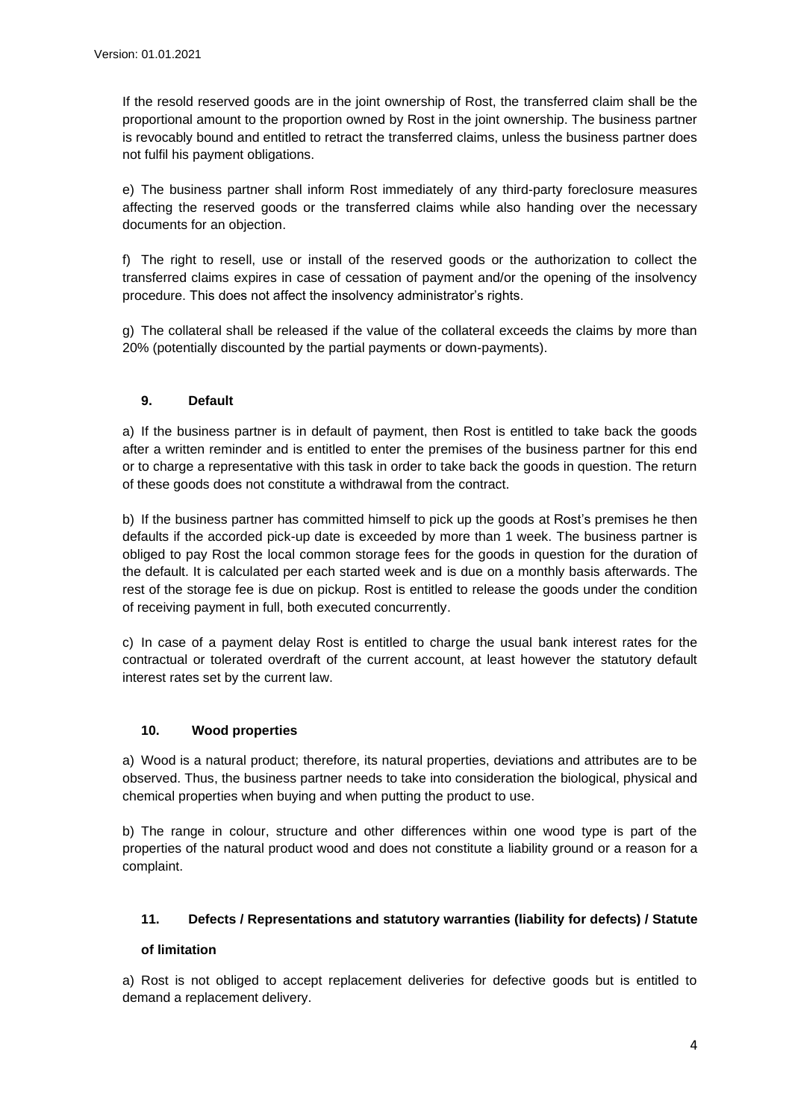If the resold reserved goods are in the joint ownership of Rost, the transferred claim shall be the proportional amount to the proportion owned by Rost in the joint ownership. The business partner is revocably bound and entitled to retract the transferred claims, unless the business partner does not fulfil his payment obligations.

e) The business partner shall inform Rost immediately of any third-party foreclosure measures affecting the reserved goods or the transferred claims while also handing over the necessary documents for an objection.

f) The right to resell, use or install of the reserved goods or the authorization to collect the transferred claims expires in case of cessation of payment and/or the opening of the insolvency procedure. This does not affect the insolvency administrator's rights.

g) The collateral shall be released if the value of the collateral exceeds the claims by more than 20% (potentially discounted by the partial payments or down-payments).

## **9. Default**

a) If the business partner is in default of payment, then Rost is entitled to take back the goods after a written reminder and is entitled to enter the premises of the business partner for this end or to charge a representative with this task in order to take back the goods in question. The return of these goods does not constitute a withdrawal from the contract.

b) If the business partner has committed himself to pick up the goods at Rost's premises he then defaults if the accorded pick-up date is exceeded by more than 1 week. The business partner is obliged to pay Rost the local common storage fees for the goods in question for the duration of the default. It is calculated per each started week and is due on a monthly basis afterwards. The rest of the storage fee is due on pickup. Rost is entitled to release the goods under the condition of receiving payment in full, both executed concurrently.

c) In case of a payment delay Rost is entitled to charge the usual bank interest rates for the contractual or tolerated overdraft of the current account, at least however the statutory default interest rates set by the current law.

#### **10. Wood properties**

a) Wood is a natural product; therefore, its natural properties, deviations and attributes are to be observed. Thus, the business partner needs to take into consideration the biological, physical and chemical properties when buying and when putting the product to use.

b) The range in colour, structure and other differences within one wood type is part of the properties of the natural product wood and does not constitute a liability ground or a reason for a complaint.

## **11. Defects / Representations and statutory warranties (liability for defects) / Statute**

#### **of limitation**

a) Rost is not obliged to accept replacement deliveries for defective goods but is entitled to demand a replacement delivery.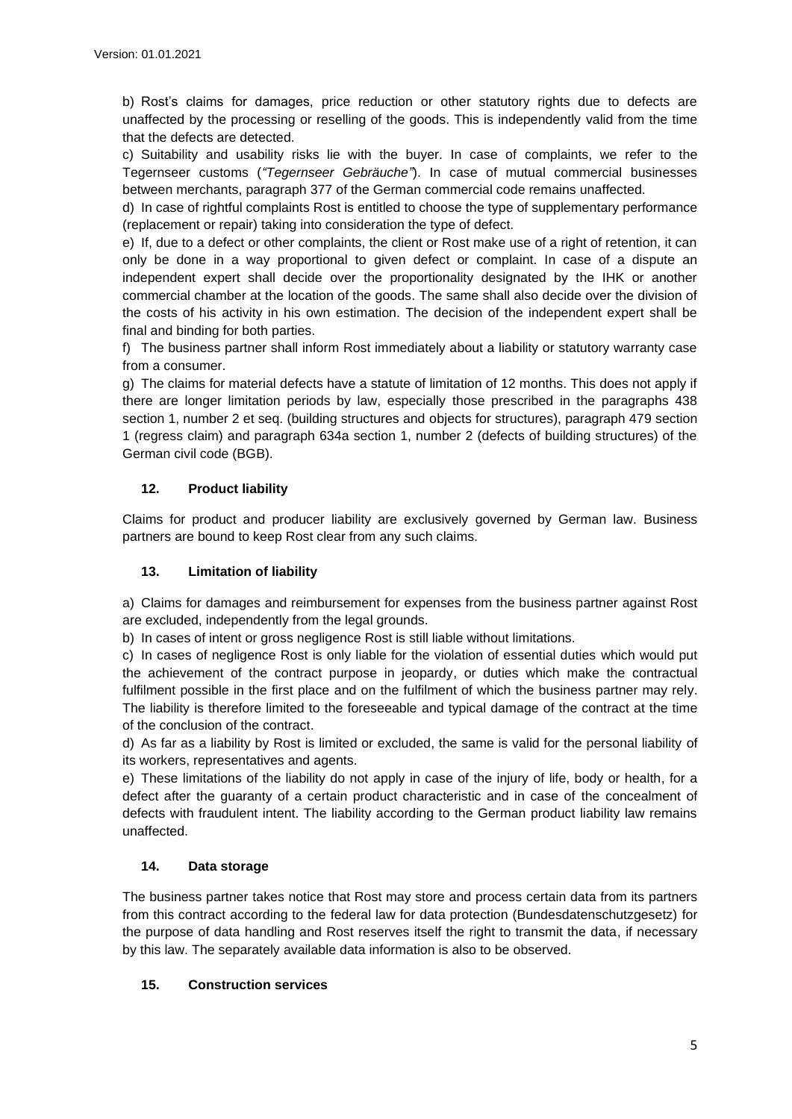b) Rost's claims for damages, price reduction or other statutory rights due to defects are unaffected by the processing or reselling of the goods. This is independently valid from the time that the defects are detected.

c) Suitability and usability risks lie with the buyer. In case of complaints, we refer to the Tegernseer customs (*"Tegernseer Gebräuche"*). In case of mutual commercial businesses between merchants, paragraph 377 of the German commercial code remains unaffected.

d) In case of rightful complaints Rost is entitled to choose the type of supplementary performance (replacement or repair) taking into consideration the type of defect.

e) If, due to a defect or other complaints, the client or Rost make use of a right of retention, it can only be done in a way proportional to given defect or complaint. In case of a dispute an independent expert shall decide over the proportionality designated by the IHK or another commercial chamber at the location of the goods. The same shall also decide over the division of the costs of his activity in his own estimation. The decision of the independent expert shall be final and binding for both parties.

f) The business partner shall inform Rost immediately about a liability or statutory warranty case from a consumer.

g) The claims for material defects have a statute of limitation of 12 months. This does not apply if there are longer limitation periods by law, especially those prescribed in the paragraphs 438 section 1, number 2 et seq. (building structures and objects for structures), paragraph 479 section 1 (regress claim) and paragraph 634a section 1, number 2 (defects of building structures) of the German civil code (BGB).

## **12. Product liability**

Claims for product and producer liability are exclusively governed by German law. Business partners are bound to keep Rost clear from any such claims.

#### **13. Limitation of liability**

a) Claims for damages and reimbursement for expenses from the business partner against Rost are excluded, independently from the legal grounds.

b) In cases of intent or gross negligence Rost is still liable without limitations.

c) In cases of negligence Rost is only liable for the violation of essential duties which would put the achievement of the contract purpose in jeopardy, or duties which make the contractual fulfilment possible in the first place and on the fulfilment of which the business partner may rely. The liability is therefore limited to the foreseeable and typical damage of the contract at the time of the conclusion of the contract.

d) As far as a liability by Rost is limited or excluded, the same is valid for the personal liability of its workers, representatives and agents.

e) These limitations of the liability do not apply in case of the injury of life, body or health, for a defect after the guaranty of a certain product characteristic and in case of the concealment of defects with fraudulent intent. The liability according to the German product liability law remains unaffected.

## **14. Data storage**

The business partner takes notice that Rost may store and process certain data from its partners from this contract according to the federal law for data protection (Bundesdatenschutzgesetz) for the purpose of data handling and Rost reserves itself the right to transmit the data, if necessary by this law. The separately available data information is also to be observed.

#### **15. Construction services**